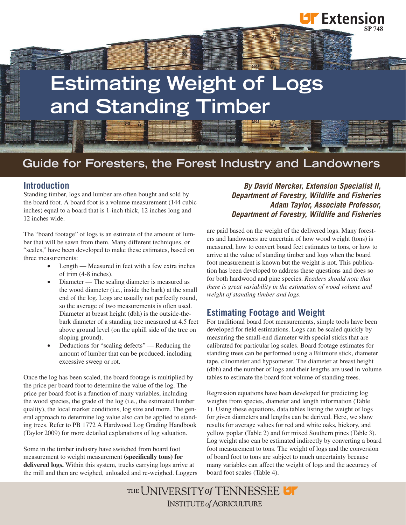# **Estimating Weight of Logs and Standing Timber**

## **Guide for Foresters, the Forest Industry and Landowners**

#### **Introduction**

Standing timber, logs and lumber are often bought and sold by the board foot. A board foot is a volume measurement (144 cubic inches) equal to a board that is 1-inch thick, 12 inches long and 12 inches wide.

The "board footage" of logs is an estimate of the amount of lumber that will be sawn from them. Many different techniques, or "scales," have been developed to make these estimates, based on three measurements:

- Length Measured in feet with a few extra inches of trim (4-8 inches).
- Diameter The scaling diameter is measured as the wood diameter (i.e., inside the bark) at the small end of the log. Logs are usually not perfectly round, so the average of two measurements is often used. Diameter at breast height (dbh) is the outside-thebark diameter of a standing tree measured at 4.5 feet above ground level (on the uphill side of the tree on sloping ground).
- Deductions for "scaling defects" Reducing the amount of lumber that can be produced, including excessive sweep or rot.

Once the log has been scaled, the board footage is multiplied by the price per board foot to determine the value of the log. The price per board foot is a function of many variables, including the wood species, the grade of the log (i.e., the estimated lumber quality), the local market conditions, log size and more. The general approach to determine log value also can be applied to standing trees. Refer to PB 1772 A Hardwood Log Grading Handbook (Taylor 2009) for more detailed explanations of log valuation.

Some in the timber industry have switched from board foot measurement to weight measurement **(specifically tons) for delivered logs.** Within this system, trucks carrying logs arrive at the mill and then are weighed, unloaded and re-weighed. Loggers

*By David Mercker, Extension Specialist II, Department of Forestry, Wildlife and Fisheries Adam Taylor, Associate Professor, Department of Forestry, Wildlife and Fisheries*

**SP 748**

**UF** Extension

are paid based on the weight of the delivered logs. Many foresters and landowners are uncertain of how wood weight (tons) is measured, how to convert board feet estimates to tons, or how to arrive at the value of standing timber and logs when the board foot measurement is known but the weight is not. This publication has been developed to address these questions and does so for both hardwood and pine species. *Readers should note that there is great variability in the estimation of wood volume and weight of standing timber and logs.*

#### **Estimating Footage and Weight**

For traditional board foot measurements, simple tools have been developed for field estimations. Logs can be scaled quickly by measuring the small-end diameter with special sticks that are calibrated for particular log scales. Board footage estimates for standing trees can be performed using a Biltmore stick, diameter tape, clinometer and hypsometer. The diameter at breast height (dbh) and the number of logs and their lengths are used in volume tables to estimate the board foot volume of standing trees.

Regression equations have been developed for predicting log weights from species, diameter and length information (Table 1). Using these equations, data tables listing the weight of logs for given diameters and lengths can be derived. Here, we show results for average values for red and white oaks, hickory, and yellow poplar (Table 2) and for mixed Southern pines (Table 3). Log weight also can be estimated indirectly by converting a board foot measurement to tons. The weight of logs and the conversion of board foot to tons are subject to much uncertainty because many variables can affect the weight of logs and the accuracy of board foot scales (Table 4).

THE UNIVERSITY of TENNESSEE **INSTITUTE of AGRICULTURE**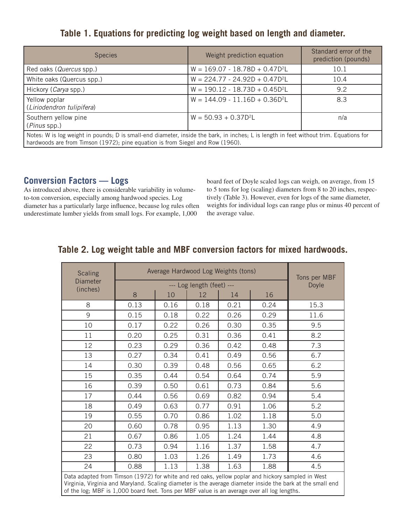## **Table 1. Equations for predicting log weight based on length and diameter.**

| <b>Species</b>                                                                                                                                                                                                           | Weight prediction equation         | Standard error of the<br>prediction (pounds) |  |  |
|--------------------------------------------------------------------------------------------------------------------------------------------------------------------------------------------------------------------------|------------------------------------|----------------------------------------------|--|--|
| Red oaks (Quercus spp.)                                                                                                                                                                                                  | $W = 169.07 - 18.78D + 0.47D^2L$   | 10.1                                         |  |  |
| White oaks (Quercus spp.)                                                                                                                                                                                                | $W = 224.77 - 24.92D + 0.47D^{2}L$ | 10.4                                         |  |  |
| Hickory (Carya spp.)                                                                                                                                                                                                     | $W = 190.12 - 18.73D + 0.45D^2L$   | 9.2                                          |  |  |
| Yellow poplar<br>(Liriodendron tulipifera)                                                                                                                                                                               | $W = 144.09 - 11.16D + 0.36D^2L$   | 8.3                                          |  |  |
| Southern yellow pine<br>(Pinus spp.)                                                                                                                                                                                     | $W = 50.93 + 0.37D^2L$             | n/a                                          |  |  |
| Notes: W is log weight in pounds; D is small-end diameter, inside the bark, in inches; L is length in feet without trim. Equations for<br>hardwoods are from Timson (1972); pine equation is from Siegel and Row (1960). |                                    |                                              |  |  |

#### **Conversion Factors — Logs**

As introduced above, there is considerable variability in volumeto-ton conversion, especially among hardwood species. Log diameter has a particularly large influence, because log rules often underestimate lumber yields from small logs. For example, 1,000

board feet of Doyle scaled logs can weigh, on average, from 15 to 5 tons for log (scaling) diameters from 8 to 20 inches, respectively (Table 3). However, even for logs of the same diameter, weights for individual logs can range plus or minus 40 percent of the average value.

## **Table 2. Log weight table and MBF conversion factors for mixed hardwoods.**

| <b>Scaling</b>                                                                                                                                                                                                                                                                                                 | Average Hardwood Log Weights (tons) | Tons per MBF |      |      |      |       |
|----------------------------------------------------------------------------------------------------------------------------------------------------------------------------------------------------------------------------------------------------------------------------------------------------------------|-------------------------------------|--------------|------|------|------|-------|
| <b>Diameter</b>                                                                                                                                                                                                                                                                                                | --- Log length (feet) ---           |              |      |      |      | Doyle |
| (inches)                                                                                                                                                                                                                                                                                                       | $8\,$                               | 10           | 12   | 14   | 16   |       |
| 8                                                                                                                                                                                                                                                                                                              | 0.13                                | 0.16         | 0.18 | 0.21 | 0.24 | 15.3  |
| 9                                                                                                                                                                                                                                                                                                              | 0.15                                | 0.18         | 0.22 | 0.26 | 0.29 | 11.6  |
| 10                                                                                                                                                                                                                                                                                                             | 0.17                                | 0.22         | 0.26 | 0.30 | 0.35 | 9.5   |
| 11                                                                                                                                                                                                                                                                                                             | 0.20                                | 0.25         | 0.31 | 0.36 | 0.41 | 8.2   |
| 12                                                                                                                                                                                                                                                                                                             | 0.23                                | 0.29         | 0.36 | 0.42 | 0.48 | 7.3   |
| 13                                                                                                                                                                                                                                                                                                             | 0.27                                | 0.34         | 0.41 | 0.49 | 0.56 | 6.7   |
| 14                                                                                                                                                                                                                                                                                                             | 0.30                                | 0.39         | 0.48 | 0.56 | 0.65 | 6.2   |
| 15                                                                                                                                                                                                                                                                                                             | 0.35                                | 0.44         | 0.54 | 0.64 | 0.74 | 5.9   |
| 16                                                                                                                                                                                                                                                                                                             | 0.39                                | 0.50         | 0.61 | 0.73 | 0.84 | 5.6   |
| 17                                                                                                                                                                                                                                                                                                             | 0.44                                | 0.56         | 0.69 | 0.82 | 0.94 | 5.4   |
| 18                                                                                                                                                                                                                                                                                                             | 0.49                                | 0.63         | 0.77 | 0.91 | 1.06 | 5.2   |
| 19                                                                                                                                                                                                                                                                                                             | 0.55                                | 0.70         | 0.86 | 1.02 | 1.18 | 5.0   |
| 20                                                                                                                                                                                                                                                                                                             | 0.60                                | 0.78         | 0.95 | 1.13 | 1.30 | 4.9   |
| 21                                                                                                                                                                                                                                                                                                             | 0.67                                | 0.86         | 1.05 | 1.24 | 1.44 | 4.8   |
| 22                                                                                                                                                                                                                                                                                                             | 0.73                                | 0.94         | 1.16 | 1.37 | 1.58 | 4.7   |
| 23                                                                                                                                                                                                                                                                                                             | 0.80                                | 1.03         | 1.26 | 1.49 | 1.73 | 4.6   |
| 24                                                                                                                                                                                                                                                                                                             | 0.88                                | 1.13         | 1.38 | 1.63 | 1.88 | 4.5   |
| Data adapted from Timson (1972) for white and red oaks, yellow poplar and hickory sampled in West<br>Virginia, Virginia and Maryland. Scaling diameter is the average diameter inside the bark at the small end<br>of the log; MBF is 1,000 board feet. Tons per MBF value is an average over all log lengths. |                                     |              |      |      |      |       |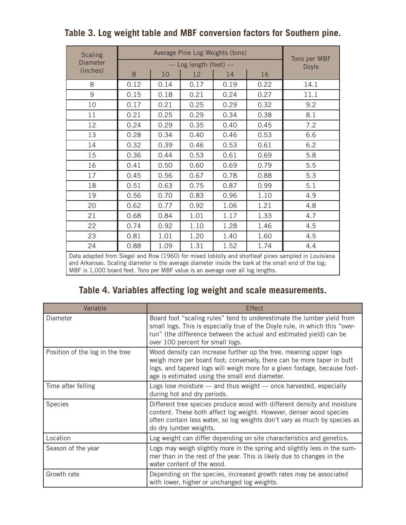| <b>Scaling</b>                                                                                                                                                                                                                                                                                                                        | Average Pine Log Weights (tons) |      |      |      |      |                       |
|---------------------------------------------------------------------------------------------------------------------------------------------------------------------------------------------------------------------------------------------------------------------------------------------------------------------------------------|---------------------------------|------|------|------|------|-----------------------|
| Diameter                                                                                                                                                                                                                                                                                                                              | --- Log length (feet) ---       |      |      |      |      | Tons per MBF<br>Doyle |
| (inches)                                                                                                                                                                                                                                                                                                                              | 8                               | 10   | 12   | 14   | 16   |                       |
| 8                                                                                                                                                                                                                                                                                                                                     | 0.12                            | 0.14 | 0.17 | 0.19 | 0.22 | 14.1                  |
| 9                                                                                                                                                                                                                                                                                                                                     | 0.15                            | 0.18 | 0.21 | 0.24 | 0.27 | 11.1                  |
| 10                                                                                                                                                                                                                                                                                                                                    | 0.17                            | 0.21 | 0.25 | 0.29 | 0.32 | 9.2                   |
| 11                                                                                                                                                                                                                                                                                                                                    | 0.21                            | 0.25 | 0.29 | 0.34 | 0.38 | 8.1                   |
| 12                                                                                                                                                                                                                                                                                                                                    | 0.24                            | 0.29 | 0.35 | 0.40 | 0.45 | 7.2                   |
| 13                                                                                                                                                                                                                                                                                                                                    | 0.28                            | 0.34 | 0.40 | 0.46 | 0.53 | 6.6                   |
| 14                                                                                                                                                                                                                                                                                                                                    | 0.32                            | 0.39 | 0.46 | 0.53 | 0.61 | 6.2                   |
| 15                                                                                                                                                                                                                                                                                                                                    | 0.36                            | 0.44 | 0.53 | 0.61 | 0.69 | 5.8                   |
| 16                                                                                                                                                                                                                                                                                                                                    | 0.41                            | 0.50 | 0.60 | 0.69 | 0.79 | 5.5                   |
| 17                                                                                                                                                                                                                                                                                                                                    | 0.45                            | 0.56 | 0.67 | 0.78 | 0.88 | 5.3                   |
| 18                                                                                                                                                                                                                                                                                                                                    | 0.51                            | 0.63 | 0.75 | 0.87 | 0.99 | 5.1                   |
| 19                                                                                                                                                                                                                                                                                                                                    | 0.56                            | 0.70 | 0.83 | 0.96 | 1.10 | 4.9                   |
| 20                                                                                                                                                                                                                                                                                                                                    | 0.62                            | 0.77 | 0.92 | 1.06 | 1.21 | 4.8                   |
| 21                                                                                                                                                                                                                                                                                                                                    | 0.68                            | 0.84 | 1.01 | 1.17 | 1.33 | 4.7                   |
| 22                                                                                                                                                                                                                                                                                                                                    | 0.74                            | 0.92 | 1.10 | 1.28 | 1.46 | 4.5                   |
| 23                                                                                                                                                                                                                                                                                                                                    | 0.81                            | 1.01 | 1.20 | 1.40 | 1.60 | 4.5                   |
| 24                                                                                                                                                                                                                                                                                                                                    | 0.88                            | 1.09 | 1.31 | 1.52 | 1.74 | 4.4                   |
| Data adapted from Siegel and Row (1960) for mixed loblolly and shortleaf pines sampled in Louisiana<br>TAILY OUTLINE THE REPORT OF THE REPORT OF THE REPORT OF THE REPORT OF THE REPORT OF THE REPORT OF THE REPORT OF THE REPORT OF THE REPORT OF THE REPORT OF THE REPORT OF THE REPORT OF THE REPORT OF THE REPORT OF THE REPORT O |                                 |      |      |      |      |                       |

## **Table 3. Log weight table and MBF conversion factors for Southern pine.**

and Arkansas. Scaling diameter is the average diameter inside the bark at the small end of the log; MBF is 1,000 board feet. Tons per MBF value is an average over all log lengths.

## **Table 4. Variables affecting log weight and scale measurements.**

| Variable                        | Effect                                                                                                                                                                                                                                                                     |  |
|---------------------------------|----------------------------------------------------------------------------------------------------------------------------------------------------------------------------------------------------------------------------------------------------------------------------|--|
| Diameter                        | Board foot "scaling rules" tend to underestimate the lumber yield from<br>small logs. This is especially true of the Doyle rule, in which this "over-<br>run" (the difference between the actual and estimated yield) can be<br>over 100 percent for small logs.           |  |
| Position of the log in the tree | Wood density can increase further up the tree, meaning upper logs<br>weigh more per board foot; conversely, there can be more taper in butt<br>logs, and tapered logs will weigh more for a given footage, because foot-<br>age is estimated using the small end diameter. |  |
| Time after felling              | Logs lose moisture $-$ and thus weight $-$ once harvested, especially<br>during hot and dry periods.                                                                                                                                                                       |  |
| <b>Species</b>                  | Different tree species produce wood with different density and moisture<br>content. These both affect log weight. However, denser wood species<br>often contain less water, so log weights don't vary as much by species as<br>do dry lumber weights.                      |  |
| Location                        | Log weight can differ depending on site characteristics and genetics.                                                                                                                                                                                                      |  |
| Season of the year              | Logs may weigh slightly more in the spring and slightly less in the sum-<br>mer than in the rest of the year. This is likely due to changes in the<br>water content of the wood.                                                                                           |  |
| Growth rate                     | Depending on the species, increased growth rates may be associated<br>with lower, higher or unchanged log weights.                                                                                                                                                         |  |